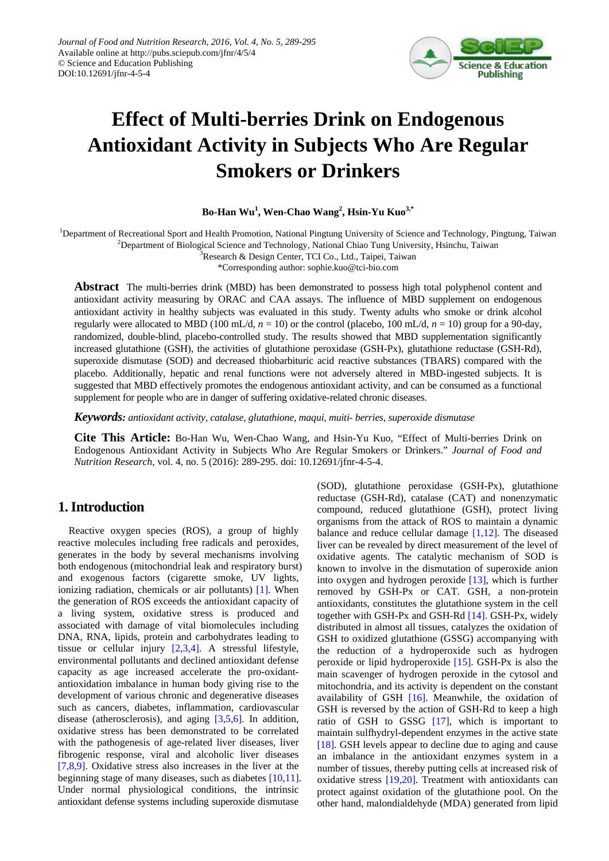

# **Effect of Multi-berries Drink on Endogenous Antioxidant Activity in Subjects Who Are Regular Smokers or Drinkers**

## **Bo-Han Wu<sup>1</sup> , Wen-Chao Wang<sup>2</sup> , Hsin-Yu Kuo3,\***

<sup>1</sup>Department of Recreational Sport and Health Promotion, National Pingtung University of Science and Technology, Pingtung, Taiwan

<sup>2</sup>Department of Biological Science and Technology, National Chiao Tung University, Hsinchu, Taiwan

<sup>3</sup>Research & Design Center, TCI Co., Ltd., Taipei, Taiwan \*Corresponding author: sophie.kuo@tci-bio.com

**Abstract** The multi-berries drink (MBD) has been demonstrated to possess high total polyphenol content and antioxidant activity measuring by ORAC and CAA assays. The influence of MBD supplement on endogenous antioxidant activity in healthy subjects was evaluated in this study. Twenty adults who smoke or drink alcohol regularly were allocated to MBD (100 mL/d,  $n = 10$ ) or the control (placebo, 100 mL/d,  $n = 10$ ) group for a 90-day, randomized, double-blind, placebo-controlled study. The results showed that MBD supplementation significantly increased glutathione (GSH), the activities of glutathione peroxidase (GSH-Px), glutathione reductase (GSH-Rd), superoxide dismutase (SOD) and decreased thiobarbituric acid reactive substances (TBARS) compared with the placebo. Additionally, hepatic and renal functions were not adversely altered in MBD-ingested subjects. It is suggested that MBD effectively promotes the endogenous antioxidant activity, and can be consumed as a functional

*Keywords: antioxidant activity, catalase, glutathione, maqui, muiti- berries, superoxide dismutase*

supplement for people who are in danger of suffering oxidative-related chronic diseases.

**Cite This Article:** Bo-Han Wu, Wen-Chao Wang, and Hsin-Yu Kuo, "Effect of Multi-berries Drink on Endogenous Antioxidant Activity in Subjects Who Are Regular Smokers or Drinkers." *Journal of Food and Nutrition Research*, vol. 4, no. 5 (2016): 289-295. doi: 10.12691/jfnr-4-5-4.

# **1. Introduction**

Reactive oxygen species (ROS), a group of highly reactive molecules including free radicals and peroxides, generates in the body by several mechanisms involving both endogenous (mitochondrial leak and respiratory burst) and exogenous factors (cigarette smoke, UV lights, ionizing radiation, chemicals or air pollutants) [\[1\].](#page-4-0) When the generation of ROS exceeds the antioxidant capacity of a living system, oxidative stress is produced and associated with damage of vital biomolecules including DNA, RNA, lipids, protein and carbohydrates leading to tissue or cellular injury [\[2,3,4\].](#page-4-1) A stressful lifestyle, environmental pollutants and declined antioxidant defense capacity as age increased accelerate the pro-oxidantantioxidation imbalance in human body giving rise to the development of various chronic and degenerative diseases such as cancers, diabetes, inflammation, cardiovascular disease (atherosclerosis), and aging [\[3,5,6\].](#page-4-2) In addition, oxidative stress has been demonstrated to be correlated with the pathogenesis of age-related liver diseases, liver fibrogenic response, viral and alcoholic liver diseases [\[7,8,9\].](#page-4-3) Oxidative stress also increases in the liver at the beginning stage of many diseases, such as diabetes [\[10,11\].](#page-4-4) Under normal physiological conditions, the intrinsic antioxidant defense systems including superoxide dismutase

(SOD), glutathione peroxidase (GSH-Px), glutathione reductase (GSH-Rd), catalase (CAT) and nonenzymatic compound, reduced glutathione (GSH), protect living organisms from the attack of ROS to maintain a dynamic balance and reduce cellular damage [\[1,12\].](#page-4-0) The diseased liver can be revealed by direct measurement of the level of oxidative agents. The catalytic mechanism of SOD is known to involve in the dismutation of superoxide anion into oxygen and hydrogen peroxide [\[13\],](#page-4-5) which is further removed by GSH-Px or CAT. GSH, a non-protein antioxidants, constitutes the glutathione system in the cell together with GSH-Px and GSH-Rd [\[14\].](#page-4-6) GSH-Px, widely distributed in almost all tissues, catalyzes the oxidation of GSH to oxidized glutathione (GSSG) accompanying with the reduction of a hydroperoxide such as hydrogen peroxide or lipid hydroperoxide [\[15\].](#page-4-7) GSH-Px is also the main scavenger of hydrogen peroxide in the cytosol and mitochondria, and its activity is dependent on the constant availability of GSH [\[16\].](#page-5-0) Meanwhile, the oxidation of GSH is reversed by the action of GSH-Rd to keep a high ratio of GSH to GSSG [\[17\],](#page-5-1) which is important to maintain sulfhydryl-dependent enzymes in the active state [\[18\].](#page-5-2) GSH levels appear to decline due to aging and cause an imbalance in the antioxidant enzymes system in a number of tissues, thereby putting cells at increased risk of oxidative stress [\[19,20\].](#page-5-3) Treatment with antioxidants can protect against oxidation of the glutathione pool. On the other hand, malondialdehyde (MDA) generated from lipid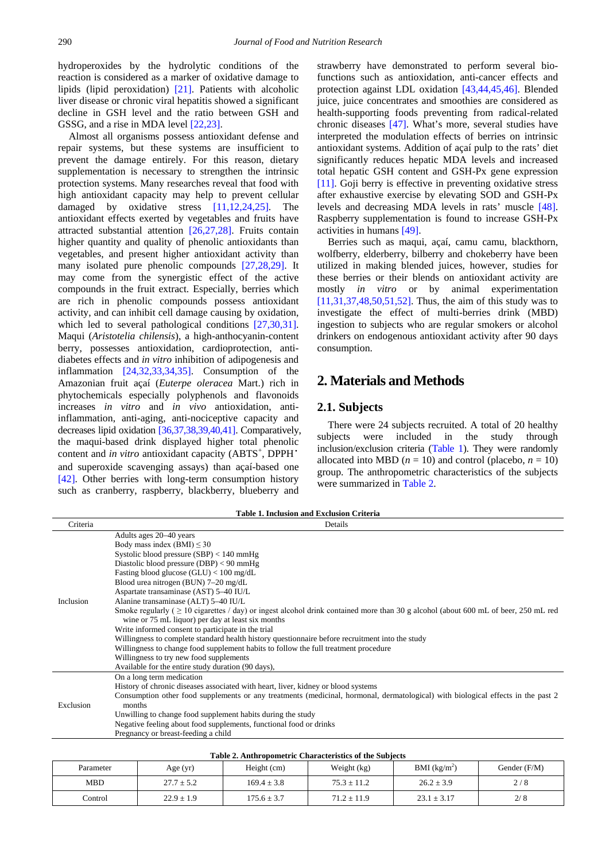hydroperoxides by the hydrolytic conditions of the reaction is considered as a marker of oxidative damage to lipids (lipid peroxidation) [\[21\].](#page-5-4) Patients with alcoholic liver disease or chronic viral hepatitis showed a significant decline in GSH level and the ratio between GSH and GSSG, and a rise in MDA level [\[22,23\].](#page-5-5) 

Almost all organisms possess antioxidant defense and repair systems, but these systems are insufficient to prevent the damage entirely. For this reason, dietary supplementation is necessary to strengthen the intrinsic protection systems. Many researches reveal that food with high antioxidant capacity may help to prevent cellular damaged by oxidative stress [\[11,12,24,25\].](#page-4-8) The antioxidant effects exerted by vegetables and fruits have attracted substantial attention [\[26,27,28\].](#page-5-6) Fruits contain higher quantity and quality of phenolic antioxidants than vegetables, and present higher antioxidant activity than many isolated pure phenolic compounds [\[27,28,29\].](#page-5-7) It may come from the synergistic effect of the active compounds in the fruit extract. Especially, berries which are rich in phenolic compounds possess antioxidant activity, and can inhibit cell damage causing by oxidation, which led to several pathological conditions [\[27,30,31\].](#page-5-7) Maqui (*Aristotelia chilensis*), a high-anthocyanin-content berry, possesses antioxidation, cardioprotection, antidiabetes effects and *in vitro* inhibition of adipogenesis and inflammation [\[24,32,33,34,35\].](#page-5-8) Consumption of the Amazonian fruit açaí (*Euterpe oleracea* Mart.) rich in phytochemicals especially polyphenols and flavonoids increases *in vitro* and *in vivo* antioxidation, antiinflammation, anti-aging, anti-nociceptive capacity and decreases lipid oxidation [\[36,37,38,39,40,41\].](#page-5-9) Comparatively, the maqui-based drink displayed higher total phenolic content and *in vitro* antioxidant capacity (ABTS<sup>+</sup>, DPPH<sup>•</sup> and superoxide scavenging assays) than açaí-based one [\[42\].](#page-5-10) Other berries with long-term consumption history such as cranberry, raspberry, blackberry, blueberry and strawberry have demonstrated to perform several biofunctions such as antioxidation, anti-cancer effects and protection against LDL oxidation [\[43,44,45,46\].](#page-5-11) Blended juice, juice concentrates and smoothies are considered as health-supporting foods preventing from radical-related chronic diseases [\[47\].](#page-5-12) What's more, several studies have interpreted the modulation effects of berries on intrinsic antioxidant systems. Addition of açaí pulp to the rats' diet significantly reduces hepatic MDA levels and increased total hepatic GSH content and GSH-Px gene expression [\[11\].](#page-4-8) Goji berry is effective in preventing oxidative stress after exhaustive exercise by elevating SOD and GSH-Px levels and decreasing MDA levels in rats' muscle [\[48\].](#page-5-13) Raspberry supplementation is found to increase GSH-Px activities in humans [\[49\].](#page-5-14)

Berries such as maqui, açaí, camu camu, blackthorn, wolfberry, elderberry, bilberry and chokeberry have been utilized in making blended juices, however, studies for these berries or their blends on antioxidant activity are mostly *in vitro* or by animal experimentation [\[11,31,37,48,50,51,52\].](#page-4-8) Thus, the aim of this study was to investigate the effect of multi-berries drink (MBD) ingestion to subjects who are regular smokers or alcohol drinkers on endogenous antioxidant activity after 90 days consumption.

# **2. Materials and Methods**

### **2.1. Subjects**

There were 24 subjects recruited. A total of 20 healthy subjects were included in the study through inclusion/exclusion criteria [\(Table 1\)](#page-1-0). They were randomly allocated into MBD  $(n = 10)$  and control (placebo,  $n = 10$ ) group. The anthropometric characteristics of the subjects were summarized in [Table 2.](#page-1-1)

**Table 1. Inclusion and Exclusion Criteria**

<span id="page-1-0"></span>

| Criteria  | Details                                                                                                                                  |
|-----------|------------------------------------------------------------------------------------------------------------------------------------------|
|           | Adults ages 20–40 years                                                                                                                  |
| Inclusion | Body mass index $(BMI) \leq 30$                                                                                                          |
|           | Systolic blood pressure $(SBP) < 140$ mmHg                                                                                               |
|           | Diastolic blood pressure (DBP) < 90 mmHg                                                                                                 |
|           | Fasting blood glucose (GLU) < 100 mg/dL                                                                                                  |
|           | Blood urea nitrogen (BUN) 7-20 mg/dL                                                                                                     |
|           | Aspartate transaminase (AST) 5-40 IU/L                                                                                                   |
|           | Alanine transaminase (ALT) 5-40 IU/L                                                                                                     |
|           | Smoke regularly ( $\geq 10$ cigarettes / day) or ingest alcohol drink contained more than 30 g alcohol (about 600 mL of beer, 250 mL red |
|           | wine or 75 mL liquor) per day at least six months                                                                                        |
|           | Write informed consent to participate in the trial                                                                                       |
|           | Willingness to complete standard health history questionnaire before recruitment into the study                                          |
|           | Willingness to change food supplement habits to follow the full treatment procedure                                                      |
|           | Willingness to try new food supplements                                                                                                  |
|           | Available for the entire study duration (90 days),                                                                                       |
| Exclusion | On a long term medication                                                                                                                |
|           | History of chronic diseases associated with heart, liver, kidney or blood systems                                                        |
|           | Consumption other food supplements or any treatments (medicinal, hormonal, dermatological) with biological effects in the past 2         |
|           | months                                                                                                                                   |
|           | Unwilling to change food supplement habits during the study                                                                              |
|           | Negative feeling about food supplements, functional food or drinks                                                                       |
|           | Pregnancy or breast-feeding a child                                                                                                      |

| Table 2. Anthropometric Characteristics of the Subjects |
|---------------------------------------------------------|
|---------------------------------------------------------|

<span id="page-1-1"></span>

| THEIR WAS THE CONTRACTED AND MONEYARDED OF ANY PARTICLE. |                |                 |                 |                          |                |  |  |  |  |  |  |  |
|----------------------------------------------------------|----------------|-----------------|-----------------|--------------------------|----------------|--|--|--|--|--|--|--|
| Parameter                                                | Age (yr)       | Height (cm)     | Weight (kg)     | BMI (kg/m <sup>2</sup> ) | Gender $(F/M)$ |  |  |  |  |  |  |  |
| <b>MBD</b>                                               | $27.7 \pm 5.2$ | $169.4 \pm 3.8$ | $75.3 \pm 11.2$ | $26.2 \pm 3.9$           | 2/8            |  |  |  |  |  |  |  |
| Control                                                  | $22.9 \pm 1.9$ | $175.6 \pm 3.7$ | $71.2 \pm 11.9$ | $23.1 \pm 3.17$          | 2/8            |  |  |  |  |  |  |  |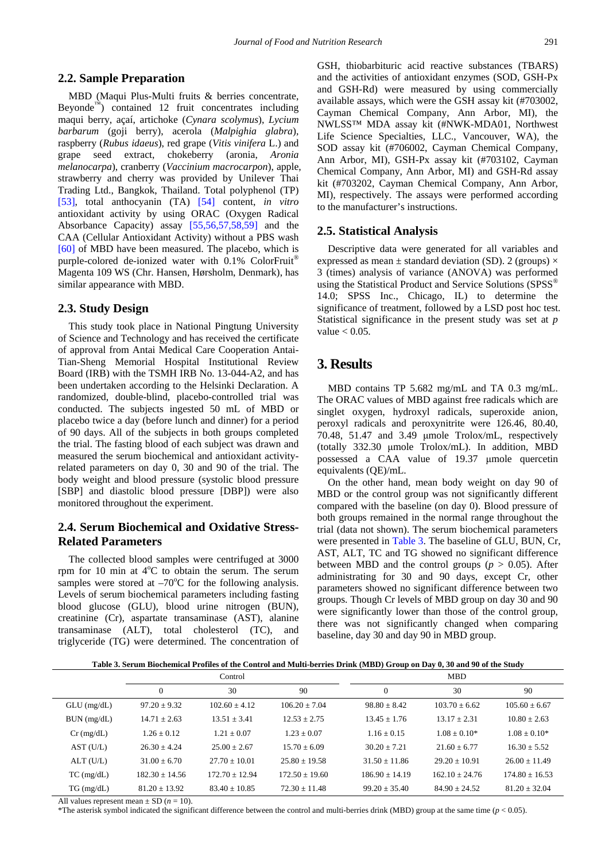#### **2.2. Sample Preparation**

MBD (Maqui Plus-Multi fruits & berries concentrate, Beyonde<sup>™</sup>) contained 12 fruit concentrates including maqui berry, açaí, artichoke (*Cynara scolymus*), *Lycium barbarum* (goji berry), acerola (*Malpighia glabra*), raspberry (*Rubus idaeus*), red grape (*Vitis vinifera* L.) and grape seed extract, chokeberry (aronia, *Aronia melanocarpa*), cranberry (*Vaccinium macrocarpon*), apple, strawberry and cherry was provided by Unilever Thai Trading Ltd., Bangkok, Thailand. Total polyphenol (TP) [\[53\],](#page-6-0) total anthocyanin (TA) [\[54\]](#page-6-1) content, *in vitro* antioxidant activity by using ORAC (Oxygen Radical Absorbance Capacity) assay [\[55,56,57,58,59\]](#page-6-2) and the CAA (Cellular Antioxidant Activity) without a PBS wash [\[60\]](#page-6-3) of MBD have been measured. The placebo, which is purple-colored de-ionized water with 0.1% ColorFruit® Magenta 109 WS (Chr. Hansen, Hørsholm, Denmark), has similar appearance with MBD.

#### **2.3. Study Design**

This study took place in National Pingtung University of Science and Technology and has received the certificate of approval from Antai Medical Care Cooperation Antai-Tian-Sheng Memorial Hospital Institutional Review Board (IRB) with the TSMH IRB No. 13-044-A2, and has been undertaken according to the Helsinki Declaration. A randomized, double-blind, placebo-controlled trial was conducted. The subjects ingested 50 mL of MBD or placebo twice a day (before lunch and dinner) for a period of 90 days. All of the subjects in both groups completed the trial. The fasting blood of each subject was drawn and measured the serum biochemical and antioxidant activityrelated parameters on day 0, 30 and 90 of the trial. The body weight and blood pressure (systolic blood pressure [SBP] and diastolic blood pressure [DBP]) were also monitored throughout the experiment.

## **2.4. Serum Biochemical and Oxidative Stress-Related Parameters**

The collected blood samples were centrifuged at 3000 rpm for 10 min at  $4^{\circ}$ C to obtain the serum. The serum samples were stored at  $-70^{\circ}$ C for the following analysis. Levels of serum biochemical parameters including fasting blood glucose (GLU), blood urine nitrogen (BUN), creatinine (Cr), aspartate transaminase (AST), alanine transaminase (ALT), total cholesterol (TC), and triglyceride (TG) were determined. The concentration of GSH, thiobarbituric acid reactive substances (TBARS) and the activities of antioxidant enzymes (SOD, GSH-Px and GSH-Rd) were measured by using commercially available assays, which were the GSH assay kit (#703002, Cayman Chemical Company, Ann Arbor, MI), the NWLSS™ MDA assay kit (#NWK-MDA01, Northwest Life Science Specialties, LLC., Vancouver, WA), the SOD assay kit (#706002, Cayman Chemical Company, Ann Arbor, MI), GSH-Px assay kit (#703102, Cayman Chemical Company, Ann Arbor, MI) and GSH-Rd assay kit (#703202, Cayman Chemical Company, Ann Arbor, MI), respectively. The assays were performed according to the manufacturer's instructions.

#### **2.5. Statistical Analysis**

Descriptive data were generated for all variables and expressed as mean  $\pm$  standard deviation (SD). 2 (groups)  $\times$ 3 (times) analysis of variance (ANOVA) was performed using the Statistical Product and Service Solutions (SPSS<sup>®</sup> 14.0; SPSS Inc., Chicago, IL) to determine the significance of treatment, followed by a LSD post hoc test. Statistical significance in the present study was set at *p* value  $< 0.05$ .

## **3. Results**

MBD contains TP 5.682 mg/mL and TA 0.3 mg/mL. The ORAC values of MBD against free radicals which are singlet oxygen, hydroxyl radicals, superoxide anion, peroxyl radicals and peroxynitrite were 126.46, 80.40, 70.48, 51.47 and 3.49 μmole Trolox/mL, respectively (totally 332.30 μmole Trolox/mL). In addition, MBD possessed a CAA value of 19.37 μmole quercetin equivalents (QE)/mL.

On the other hand, mean body weight on day 90 of MBD or the control group was not significantly different compared with the baseline (on day 0). Blood pressure of both groups remained in the normal range throughout the trial (data not shown). The serum biochemical parameters were presented in [Table 3.](#page-2-0) The baseline of GLU, BUN, Cr, AST, ALT, TC and TG showed no significant difference between MBD and the control groups ( $p > 0.05$ ). After administrating for 30 and 90 days, except Cr, other parameters showed no significant difference between two groups. Though Cr levels of MBD group on day 30 and 90 were significantly lower than those of the control group, there was not significantly changed when comparing baseline, day 30 and day 90 in MBD group.

**Table 3. Serum Biochemical Profiles of the Control and Multi-berries Drink (MBD) Group on Day 0, 30 and 90 of the Study**

<span id="page-2-0"></span>

|                 | Control          |                  |                  | <b>MBD</b>       |                  |                  |  |
|-----------------|------------------|------------------|------------------|------------------|------------------|------------------|--|
|                 | $\mathbf{0}$     | 30               | 90               | $\theta$         | 30               | 90               |  |
| $GLU$ (mg/dL)   | $97.20 + 9.32$   | $102.60 + 4.12$  | $106.20 + 7.04$  | $98.80 + 8.42$   | $103.70 + 6.62$  | $105.60 + 6.67$  |  |
| BUN (mg/dL)     | $14.71 + 2.63$   | $13.51 + 3.41$   | $12.53 + 2.75$   | $13.45 + 1.76$   | $13.17 + 2.31$   | $10.80 + 2.63$   |  |
| $Cr$ (mg/dL)    | $1.26 + 0.12$    | $1.21 + 0.07$    | $1.23 + 0.07$    | $1.16 + 0.15$    | $1.08 + 0.10*$   | $1.08 + 0.10*$   |  |
| AST (U/L)       | $26.30 + 4.24$   | $25.00 + 2.67$   | $15.70 + 6.09$   | $30.20 + 7.21$   | $21.60 + 6.77$   | $16.30 + 5.52$   |  |
| $ALT$ (U/L)     | $31.00 + 6.70$   | $27.70 + 10.01$  | $25.80 + 19.58$  | $31.50 + 11.86$  | $29.20 + 10.91$  | $26.00 + 11.49$  |  |
| $TC$ (mg/dL)    | $182.30 + 14.56$ | $172.70 + 12.94$ | $172.50 + 19.60$ | $186.90 + 14.19$ | $162.10 + 24.76$ | $174.80 + 16.53$ |  |
| $TG \, (mg/dL)$ | $81.20 + 13.92$  | $83.40 + 10.85$  | $72.30 + 11.48$  | $99.20 + 35.40$  | $84.90 + 24.52$  | $81.20 + 32.04$  |  |
|                 |                  |                  |                  |                  |                  |                  |  |

All values represent mean  $\pm$  SD ( $n = 10$ ).

\*The asterisk symbol indicated the significant difference between the control and multi-berries drink (MBD) group at the same time  $(p < 0.05)$ .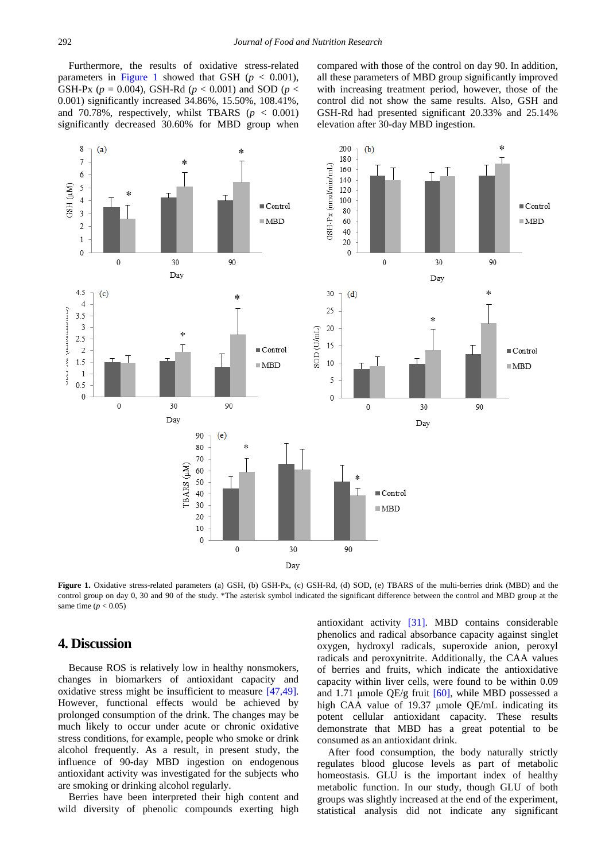Furthermore, the results of oxidative stress-related parameters in [Figure 1](#page-3-0) showed that GSH  $(p < 0.001)$ . GSH-Px ( $p = 0.004$ ), GSH-Rd ( $p < 0.001$ ) and SOD ( $p <$ 0.001) significantly increased 34.86%, 15.50%, 108.41%, and 70.78%, respectively, whilst TBARS  $(p < 0.001)$ significantly decreased 30.60% for MBD group when compared with those of the control on day 90. In addition, all these parameters of MBD group significantly improved with increasing treatment period, however, those of the control did not show the same results. Also, GSH and GSH-Rd had presented significant 20.33% and 25.14% elevation after 30-day MBD ingestion.

<span id="page-3-0"></span>

**Figure 1.** Oxidative stress-related parameters (a) GSH, (b) GSH-Px, (c) GSH-Rd, (d) SOD, (e) TBARS of the multi-berries drink (MBD) and the control group on day 0, 30 and 90 of the study. \*The asterisk symbol indicated the significant difference between the control and MBD group at the same time  $(p < 0.05)$ 

## **4. Discussion**

Because ROS is relatively low in healthy nonsmokers, changes in biomarkers of antioxidant capacity and oxidative stress might be insufficient to measure [\[47,49\].](#page-5-12) However, functional effects would be achieved by prolonged consumption of the drink. The changes may be much likely to occur under acute or chronic oxidative stress conditions, for example, people who smoke or drink alcohol frequently. As a result, in present study, the influence of 90-day MBD ingestion on endogenous antioxidant activity was investigated for the subjects who are smoking or drinking alcohol regularly.

Berries have been interpreted their high content and wild diversity of phenolic compounds exerting high antioxidant activity [\[31\].](#page-5-15) MBD contains considerable phenolics and radical absorbance capacity against singlet oxygen, hydroxyl radicals, superoxide anion, peroxyl radicals and peroxynitrite. Additionally, the CAA values of berries and fruits, which indicate the antioxidative capacity within liver cells, were found to be within 0.09 and 1.71 µmole QE/g fruit  $[60]$ , while MBD possessed a high CAA value of 19.37 μmole QE/mL indicating its potent cellular antioxidant capacity. These results demonstrate that MBD has a great potential to be consumed as an antioxidant drink.

After food consumption, the body naturally strictly regulates blood glucose levels as part of metabolic homeostasis. GLU is the important index of healthy metabolic function. In our study, though GLU of both groups was slightly increased at the end of the experiment, statistical analysis did not indicate any significant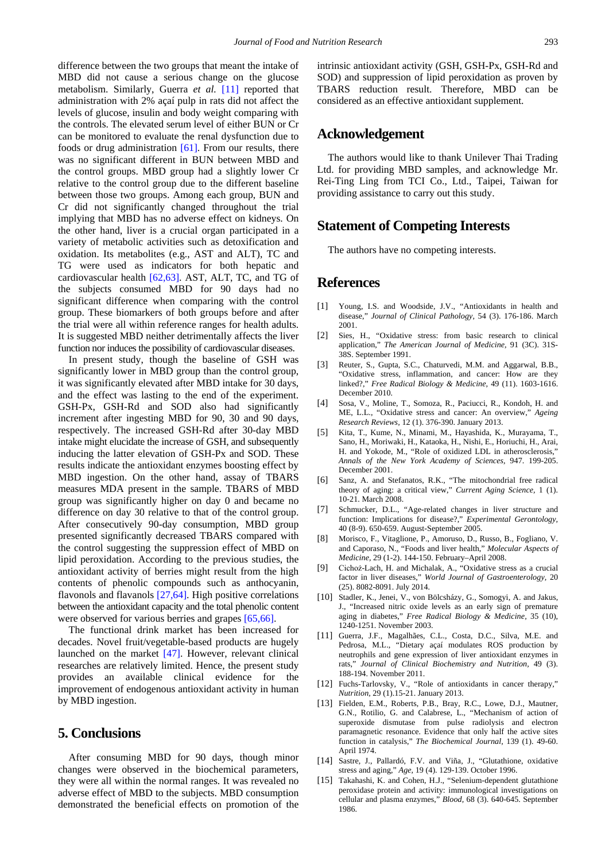difference between the two groups that meant the intake of MBD did not cause a serious change on the glucose metabolism. Similarly, Guerra *et al.* [\[11\]](#page-4-8) reported that administration with 2% açaí pulp in rats did not affect the levels of glucose, insulin and body weight comparing with the controls. The elevated serum level of either BUN or Cr can be monitored to evaluate the renal dysfunction due to foods or drug administration [\[61\].](#page-6-4) From our results, there was no significant different in BUN between MBD and the control groups. MBD group had a slightly lower Cr relative to the control group due to the different baseline between those two groups. Among each group, BUN and Cr did not significantly changed throughout the trial implying that MBD has no adverse effect on kidneys. On the other hand, liver is a crucial organ participated in a variety of metabolic activities such as detoxification and oxidation. Its metabolites (e.g., AST and ALT), TC and TG were used as indicators for both hepatic and cardiovascular health [\[62,63\].](#page-6-5) AST, ALT, TC, and TG of the subjects consumed MBD for 90 days had no significant difference when comparing with the control group. These biomarkers of both groups before and after the trial were all within reference ranges for health adults. It is suggested MBD neither detrimentally affects the liver function nor induces the possibility of cardiovascular diseases.

In present study, though the baseline of GSH was significantly lower in MBD group than the control group, it was significantly elevated after MBD intake for 30 days, and the effect was lasting to the end of the experiment. GSH-Px, GSH-Rd and SOD also had significantly increment after ingesting MBD for 90, 30 and 90 days, respectively. The increased GSH-Rd after 30-day MBD intake might elucidate the increase of GSH, and subsequently inducing the latter elevation of GSH-Px and SOD. These results indicate the antioxidant enzymes boosting effect by MBD ingestion. On the other hand, assay of TBARS measures MDA present in the sample. TBARS of MBD group was significantly higher on day 0 and became no difference on day 30 relative to that of the control group. After consecutively 90-day consumption, MBD group presented significantly decreased TBARS compared with the control suggesting the suppression effect of MBD on lipid peroxidation. According to the previous studies, the antioxidant activity of berries might result from the high contents of phenolic compounds such as anthocyanin, flavonols and flavanols [\[27,64\].](#page-5-7) High positive correlations between the antioxidant capacity and the total phenolic content were observed for various berries and grapes [\[65,66\].](#page-6-6)

The functional drink market has been increased for decades. Novel fruit/vegetable-based products are hugely launched on the market [\[47\].](#page-5-12) However, relevant clinical researches are relatively limited. Hence, the present study provides an available clinical evidence for the improvement of endogenous antioxidant activity in human by MBD ingestion.

## **5. Conclusions**

After consuming MBD for 90 days, though minor changes were observed in the biochemical parameters, they were all within the normal ranges. It was revealed no adverse effect of MBD to the subjects. MBD consumption demonstrated the beneficial effects on promotion of the

## **Acknowledgement**

The authors would like to thank Unilever Thai Trading Ltd. for providing MBD samples, and acknowledge Mr. Rei-Ting Ling from TCI Co., Ltd., Taipei, Taiwan for providing assistance to carry out this study.

## **Statement of Competing Interests**

The authors have no competing interests.

## **References**

- <span id="page-4-0"></span>[1] Young, I.S. and Woodside, J.V., "Antioxidants in health and disease," *Journal of Clinical Pathology,* 54 (3). 176-186. March 2001.
- <span id="page-4-1"></span>[2] Sies, H., "Oxidative stress: from basic research to clinical application," *The American Journal of Medicine,* 91 (3C). 31S-38S. September 1991.
- <span id="page-4-2"></span>[3] Reuter, S., Gupta, S.C., Chaturvedi, M.M. and Aggarwal, B.B., "Oxidative stress, inflammation, and cancer: How are they linked?," *Free Radical Biology & Medicine,* 49 (11). 1603-1616. December 2010.
- [4] Sosa, V., Moline, T., Somoza, R., Paciucci, R., Kondoh, H. and ME, L.L., "Oxidative stress and cancer: An overview," *Ageing Research Reviews,* 12 (1). 376-390. January 2013.
- [5] Kita, T., Kume, N., Minami, M., Hayashida, K., Murayama, T., Sano, H., Moriwaki, H., Kataoka, H., Nishi, E., Horiuchi, H., Arai, H. and Yokode, M., "Role of oxidized LDL in atherosclerosis," *Annals of the New York Academy of Sciences,* 947. 199-205. December 2001.
- [6] Sanz, A. and Stefanatos, R.K., "The mitochondrial free radical theory of aging: a critical view," *Current Aging Science,* 1 (1). 10-21. March 2008.
- <span id="page-4-3"></span>[7] Schmucker, D.L., "Age-related changes in liver structure and function: Implications for disease?," *Experimental Gerontology,* 40 (8-9). 650-659. August-September 2005.
- [8] Morisco, F., Vitaglione, P., Amoruso, D., Russo, B., Fogliano, V. and Caporaso, N., "Foods and liver health," *Molecular Aspects of Medicine,* 29 (1-2). 144-150. February–April 2008.
- [9] Cichoż-Lach, H. and Michalak, A., "Oxidative stress as a crucial factor in liver diseases," *World Journal of Gastroenterology,* 20 (25). 8082-8091. July 2014.
- <span id="page-4-4"></span>[10] Stadler, K., Jenei, V., von Bölcsházy, G., Somogyi, A. and Jakus, J., "Increased nitric oxide levels as an early sign of premature aging in diabetes," *Free Radical Biology & Medicine,* 35 (10), 1240-1251. November 2003.
- <span id="page-4-8"></span>[11] Guerra, J.F., Magalhães, C.L., Costa, D.C., Silva, M.E. and Pedrosa, M.L., "Dietary açaí modulates ROS production by neutrophils and gene expression of liver antioxidant enzymes in rats," *Journal of Clinical Biochemistry and Nutrition,* 49 (3). 188-194. November 2011.
- [12] Fuchs-Tarlovsky, V., "Role of antioxidants in cancer therapy," *Nutrition,* 29 (1).15-21. January 2013.
- <span id="page-4-5"></span>[13] Fielden, E.M., Roberts, P.B., Bray, R.C., Lowe, D.J., Mautner, G.N., Rotilio, G. and Calabrese, L., "Mechanism of action of superoxide dismutase from pulse radiolysis and electron paramagnetic resonance. Evidence that only half the active sites function in catalysis," *The Biochemical Journal,* 139 (1). 49-60. April 1974.
- <span id="page-4-6"></span>[14] Sastre, J., Pallardó, F.V. and Viña, J., "Glutathione, oxidative stress and aging," *Age,* 19 (4). 129-139. October 1996.
- <span id="page-4-7"></span>[15] Takahashi, K. and Cohen, H.J., "Selenium-dependent glutathione peroxidase protein and activity: immunological investigations on cellular and plasma enzymes," *Blood,* 68 (3). 640-645. September 1986.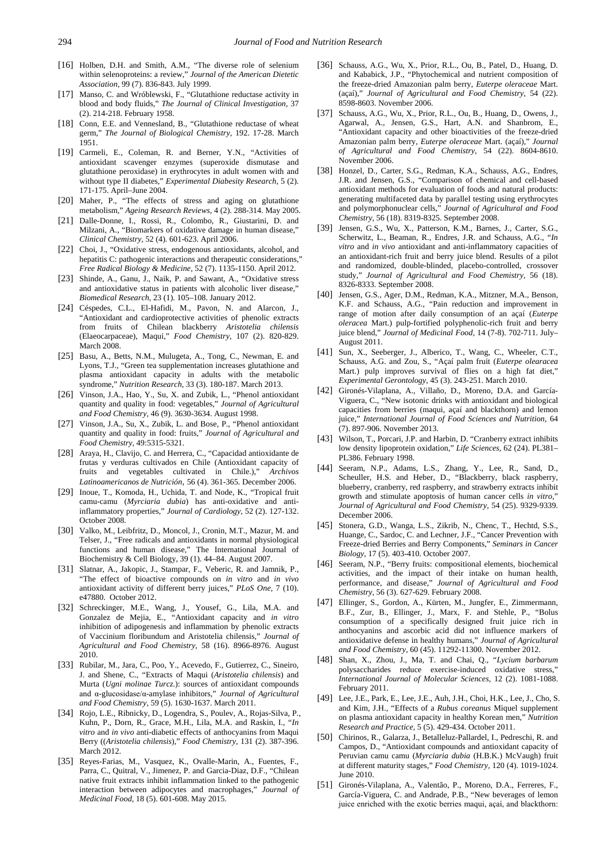- <span id="page-5-0"></span>[16] Holben, D.H. and Smith, A.M., "The diverse role of selenium within selenoproteins: a review," *Journal of the American Dietetic Association,* 99 (7). 836-843. July 1999.
- <span id="page-5-1"></span>[17] Manso, C. and Wróblewski, F., "Glutathione reductase activity in blood and body fluids," *The Journal of Clinical Investigation,* 37 (2). 214-218. February 1958.
- <span id="page-5-2"></span>[18] Conn, E.E. and Vennesland, B., "Glutathione reductase of wheat germ," *The Journal of Biological Chemistry,* 192. 17-28. March 1951.
- <span id="page-5-3"></span>[19] Carmeli, E., Coleman, R. and Berner, Y.N., "Activities of antioxidant scavenger enzymes (superoxide dismutase and glutathione peroxidase) in erythrocytes in adult women with and without type II diabetes," *Experimental Diabesity Research,* 5 (2). 171-175. April–June 2004.
- [20] Maher, P., "The effects of stress and aging on glutathione metabolism," *Ageing Research Reviews,* 4 (2). 288-314. May 2005.
- <span id="page-5-4"></span>[21] Dalle-Donne, I., Rossi, R., Colombo, R., Giustarini, D. and Milzani, A., "Biomarkers of oxidative damage in human disease," *Clinical Chemistry,* 52 (4). 601-623. April 2006.
- <span id="page-5-5"></span>[22] Choi, J., "Oxidative stress, endogenous antioxidants, alcohol, and hepatitis C: pathogenic interactions and therapeutic considerations," *Free Radical Biology & Medicine,* 52 (7). 1135-1150. April 2012.
- [23] Shinde, A., Ganu, J., Naik, P. and Sawant, A., "Oxidative stress and antioxidative status in patients with alcoholic liver disease," *Biomedical Research,* 23 (1). 105–108. January 2012.
- <span id="page-5-8"></span>[24] Céspedes, C.L., El-Hafidi, M., Pavon, N. and Alarcon, J., "Antioxidant and cardioprotective activities of phenolic extracts from fruits of Chilean blackberry *Aristotelia chilensis* (Elaeocarpaceae), Maqui," *Food Chemistry,* 107 (2). 820-829. March 2008.
- [25] Basu, A., Betts, N.M., Mulugeta, A., Tong, C., Newman, E. and Lyons, T.J., "Green tea supplementation increases glutathione and plasma antioxidant capacity in adults with the metabolic syndrome," *Nutrition Research,* 33 (3). 180-187. March 2013.
- <span id="page-5-6"></span>[26] Vinson, J.A., Hao, Y., Su, X. and Zubik, L., "Phenol antioxidant quantity and quality in food: vegetables," *Journal of Agricultural and Food Chemistry,* 46 (9). 3630-3634. August 1998.
- <span id="page-5-7"></span>[27] Vinson, J.A., Su, X., Zubik, L. and Bose, P., "Phenol antioxidant quantity and quality in food: fruits," *Journal of Agricultural and Food Chemistry,* 49:5315-5321.
- [28] Araya, H., Clavijo, C. and Herrera, C., "Capacidad antioxidante de frutas y verduras cultivados en Chile (Antioxidant capacity of fruits and vegetables cultivated in Chile.)," *Archivos Latinoamericanos de Nutrición*, 56 (4). 361-365. December 2006.
- [29] Inoue, T., Komoda, H., Uchida, T. and Node, K., "Tropical fruit camu-camu (*Myrciaria dubia*) has anti-oxidative and antiinflammatory properties," *Journal of Cardiology,* 52 (2). 127-132. October 2008.
- [30] Valko, M., Leibfritz, D., Moncol, J., Cronin, M.T., Mazur, M. and Telser, J., "Free radicals and antioxidants in normal physiological functions and human disease," The International Journal of Biochemistry & Cell Biology, 39 (1). 44–84. August 2007.
- <span id="page-5-15"></span>[31] Slatnar, A., Jakopic, J., Stampar, F., Veberic, R. and Jamnik, P., "The effect of bioactive compounds on *in vitro* and *in vivo* antioxidant activity of different berry juices," *PLoS One,* 7 (10). e47880. October 2012.
- [32] Schreckinger, M.E., Wang, J., Yousef, G., Lila, M.A. and Gonzalez de Mejia, E., "Antioxidant capacity and *in vitro* inhibition of adipogenesis and inflammation by phenolic extracts of Vaccinium floribundum and Aristotelia chilensis," *Journal of Agricultural and Food Chemistry,* 58 (16). 8966-8976. August 2010.
- [33] Rubilar, M., Jara, C., Poo, Y., Acevedo, F., Gutierrez, C., Sineiro, J. and Shene, C., "Extracts of Maqui (*Aristotelia chilensis*) and Murta (*Ugni molinae Turcz.*): sources of antioxidant compounds and α-glucosidase/α-amylase inhibitors," *Journal of Agricultural and Food Chemistry,* 59 (5). 1630-1637. March 2011.
- [34] Rojo, L.E., Ribnicky, D., Logendra, S., Poulev, A., Rojas-Silva, P., Kuhn, P., Dorn, R., Grace, M.H., Lila, M.A. and Raskin, I., "*In vitro* and *in vivo* anti-diabetic effects of anthocyanins from Maqui Berry ((*Aristotelia chilensis*)," *Food Chemistry,* 131 (2). 387-396. March 2012.
- [35] Reyes-Farias, M., Vasquez, K., Ovalle-Marin, A., Fuentes, F., Parra, C., Quitral, V., Jimenez, P. and Garcia-Diaz, D.F., "Chilean native fruit extracts inhibit inflammation linked to the pathogenic interaction between adipocytes and macrophages," *Journal of Medicinal Food,* 18 (5). 601-608. May 2015.
- <span id="page-5-9"></span>[36] Schauss, A.G., Wu, X., Prior, R.L., Ou, B., Patel, D., Huang, D. and Kababick, J.P., "Phytochemical and nutrient composition of the freeze-dried Amazonian palm berry, *Euterpe oleraceae* Mart. (açaí)," *Journal of Agricultural and Food Chemistry,* 54 (22). 8598-8603. November 2006.
- [37] Schauss, A.G., Wu, X., Prior, R.L., Ou, B., Huang, D., Owens, J., Agarwal, A., Jensen, G.S., Hart, A.N. and Shanbrom, E., "Antioxidant capacity and other bioactivities of the freeze-dried Amazonian palm berry, *Euterpe oleraceae* Mart. (açaí)," *Journal of Agricultural and Food Chemistry,* 54 (22). 8604-8610. November 2006.
- [38] Honzel, D., Carter, S.G., Redman, K.A., Schauss, A.G., Endres, J.R. and Jensen, G.S., "Comparison of chemical and cell-based antioxidant methods for evaluation of foods and natural products: generating multifaceted data by parallel testing using erythrocytes and polymorphonuclear cells," *Journal of Agricultural and Food Chemistry,* 56 (18). 8319-8325. September 2008.
- [39] Jensen, G.S., Wu, X., Patterson, K.M., Barnes, J., Carter, S.G., Scherwitz, L., Beaman, R., Endres, J.R. and Schauss, A.G., "*In vitro* and *in vivo* antioxidant and anti-inflammatory capacities of an antioxidant-rich fruit and berry juice blend. Results of a pilot and randomized, double-blinded, placebo-controlled, crossover study," *Journal of Agricultural and Food Chemistry,* 56 (18). 8326-8333. September 2008.
- [40] Jensen, G.S., Ager, D.M., Redman, K.A., Mitzner, M.A., Benson, K.F. and Schauss, A.G., "Pain reduction and improvement in range of motion after daily consumption of an açaí (*Euterpe oleracea* Mart.) pulp-fortified polyphenolic-rich fruit and berry juice blend," *Journal of Medicinal Food,* 14 (7-8). 702-711. July– August 2011.
- [41] Sun, X., Seeberger, J., Alberico, T., Wang, C., Wheeler, C.T., Schauss, A.G. and Zou, S., "Açaí palm fruit (*Euterpe olearacea* Mart.) pulp improves survival of flies on a high fat diet," *Experimental Gerontology,* 45 (3). 243-251. March 2010.
- <span id="page-5-10"></span>[42] Gironés-Vilaplana, A., Villaño, D., Moreno, D.A. and García-Viguera, C., "New isotonic drinks with antioxidant and biological capacities from berries (maqui, açaí and blackthorn) and lemon juice," *International Journal of Food Sciences and Nutrition,* 64 (7). 897-906. November 2013.
- <span id="page-5-11"></span>[43] Wilson, T., Porcari, J.P. and Harbin, D. "Cranberry extract inhibits low density lipoprotein oxidation," *Life Sciences,* 62 (24). PL381– PL386. February 1998.
- [44] Seeram, N.P., Adams, L.S., Zhang, Y., Lee, R., Sand, D., Scheuller, H.S. and Heber, D., "Blackberry, black raspberry, blueberry, cranberry, red raspberry, and strawberry extracts inhibit growth and stimulate apoptosis of human cancer cells *in vitro*," *Journal of Agricultural and Food Chemistry,* 54 (25). 9329-9339. December 2006.
- [45] Stonera, G.D., Wanga, L.S., Zikrib, N., Chenc, T., Hechtd, S.S., Huange, C., Sardoc, C. and Lechner, J.F., "Cancer Prevention with Freeze-dried Berries and Berry Components," *Seminars in Cancer Biology,* 17 (5). 403-410. October 2007.
- [46] Seeram, N.P., "Berry fruits: compositional elements, biochemical activities, and the impact of their intake on human health, performance, and disease," *Journal of Agricultural and Food Chemistry,* 56 (3). 627-629. February 2008.
- <span id="page-5-12"></span>[47] Ellinger, S., Gordon, A., Kürten, M., Jungfer, E., Zimmermann, B.F., Zur, B., Ellinger, J., Marx, F. and Stehle, P., "Bolus consumption of a specifically designed fruit juice rich in anthocyanins and ascorbic acid did not influence markers of antioxidative defense in healthy humans," *Journal of Agricultural and Food Chemistry,* 60 (45). 11292-11300. November 2012.
- <span id="page-5-13"></span>[48] Shan, X., Zhou, J., Ma, T. and Chai, Q., "*Lycium barbarum*  polysaccharides reduce exercise-induced oxidative stress," *International Journal of Molecular Sciences,* 12 (2). 1081-1088. February 2011.
- <span id="page-5-14"></span>[49] Lee, J.E., Park, E., Lee, J.E., Auh, J.H., Choi, H.K., Lee, J., Cho, S. and Kim, J.H., "Effects of a *Rubus coreanus* Miquel supplement on plasma antioxidant capacity in healthy Korean men," *Nutrition Research and Practice,* 5 (5). 429-434. October 2011.
- [50] Chirinos, R., Galarza, J., Betalleluz-Pallardel, I., Pedreschi, R. and Campos, D., "Antioxidant compounds and antioxidant capacity of Peruvian camu camu (*Myrciaria dubia* (H.B.K.) McVaugh) fruit at different maturity stages," *Food Chemistry,* 120 (4). 1019-1024. June 2010.
- [51] Gironés-Vilaplana, A., Valentão, P., Moreno, D.A., Ferreres, F., García-Viguera, C. and Andrade, P.B., "New beverages of lemon juice enriched with the exotic berries maqui, açaı́ , and blackthorn: